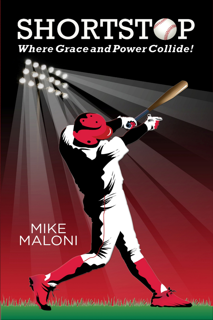## **SHORTST Where Grace and Power Collide!**

<u>UIKUM30000114031444NNUM (WILKOM300011403)</u>

ManAAN

Ŋ

# MIKE<br>MALONI

**WALIMAX**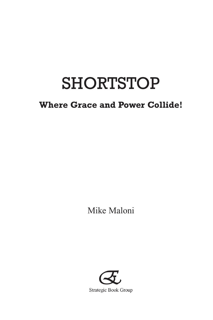## **SHORTSTOP**

### **Where Grace and Power Collide!**

Mike Maloni

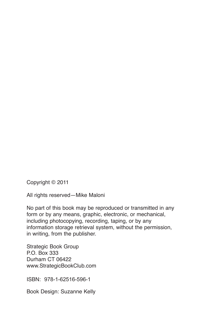Copyright © 2011

All rights reserved—Mike Maloni

No part of this book may be reproduced or transmitted in any form or by any means, graphic, electronic, or mechanical, including photocopying, recording, taping, or by any information storage retrieval system, without the permission, in writing, from the publisher.

Strategic Book Group P.O. Box 333 Durham CT 06422 www.StrategicBookClub.com

ISBN: 978-1-62516-596-1

Book Design: Suzanne Kelly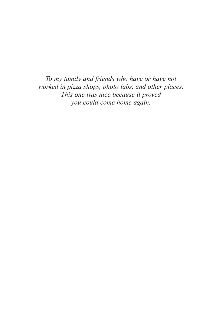*To my family and friends who have or have not worked in pizza shops, photo labs, and other places. This one was nice because it proved you could come home again.*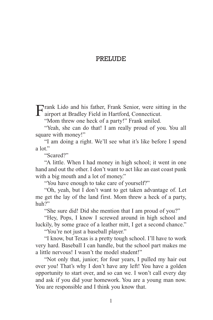#### **PRELUDE**

Frank Lido and his father, Frank Senior, were sitting in the airport at Bradley Field in Hartford, Connecticut.

"Mom threw one heck of a party!" Frank smiled.

"Yeah, she can do that! I am really proud of you. You all square with money!"

"I am doing a right. We'll see what it's like before I spend a  $\ln$ "

"Scared?"

"A little. When I had money in high school; it went in one hand and out the other. I don't want to act like an east coast punk with a big mouth and a lot of money."

"You have enough to take care of yourself?"

"Oh, yeah, but I don't want to get taken advantage of. Let me get the lay of the land first. Mom threw a heck of a party, huh?"

"She sure did! Did she mention that I am proud of you?"

"Hey, Pops, I know I screwed around in high school and luckily, by some grace of a leather mitt, I get a second chance."

"You're not just a baseball player."

"I know, but Texas is a pretty tough school. I'll have to work very hard. Baseball I can handle, but the school part makes me a little nervous! I wasn't the model student!"

"Not only that, junior; for four years, I pulled my hair out over you! That's why I don't have any left! You have a golden opportunity to start over, and so can we. I won't call every day and ask if you did your homework. You are a young man now. You are responsible and I think you know that.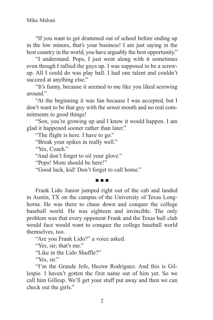"If you want to get drummed out of school before ending up in the low minors, that's your business! I am just saying in the best country in the world, you have arguably the best opportunity."

"I understand. Pops, I just went along with it sometimes even though I rallied the guys up. I was supposed to be a screwup. All I could do was play ball. I had one talent and couldn't succeed at anything else."

"It's funny, because it seemed to me like you liked screwing around."

"At the beginning it was fun because I was accepted, but I don't want to be that guy with the sewer mouth and no real commitments to good things!

"Son, you're growing up and I knew it would happen. I am glad it happened sooner rather than later."

"The flight is here. I have to go."

"Break your spikes in really well."

"Yes, Coach."

"And don't forget to oil your glove."

"Pops! Mom should be here!"

"Good luck, kid! Don't forget to call home."

#### n n n

Frank Lido Junior jumped right out of the cab and landed in Austin, TX on the campus of the University of Texas Longhorns. He was there to chase down and conquer the college baseball world. He was eighteen and invincible. The only problem was that every opponent Frank and the Texas ball club would face would want to conquer the college baseball world themselves, too.

"Are you Frank Lido?" a voice asked.

"Yes, sir; that's me."

"Like in the Lido Shuffle?"

"Yes, sir."

"I'm the Grande Jefe, Hector Rodriguez. And this is Gillespie. I haven't gotten the first name out of him yet. So we call him Gillesp. We'll get your stuff put away and then we can check out the girls."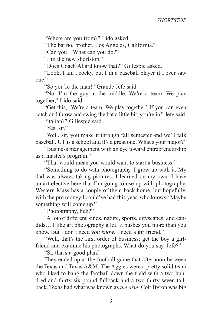"Where are you from?" Lido asked.

"The barrio, brother. Los Angeles, California."

"Can you…What can you do?"

"I'm the new shortstop."

"Does Coach Allard know that?" Gillespie asked.

"Look, I ain't cocky, but I'm a baseball player if I ever saw one."

"So you're the man!" Grande Jefe said.

"No. I'm the guy in the middle. We're a team. We play together," Lido said.

"Get this, 'We're a team. We play together.' If you can even catch and throw and swing the bat a little bit, you're in," Jefe said.

"Italian?" Gillespie said.

"Yes, sir."

"Well, sir, you make it through fall semester and we'll talk baseball. UT is a school and it's a great one. What's your major?"

"Business management with an eye toward entrepreneurship as a master's program."

"That would mean you would want to start a business!"

"Something to do with photography. I grew up with it. My dad was always taking pictures. I learned on my own. I have an art elective here that I'm going to use up with photography. Western Mass has a couple of them back home, but hopefully, with the pro money I could've had this year, who knows? Maybe something will come up."

"Photography, huh?"

"A lot of different kinds, nature, sports, cityscapes, and candids… I like art photography a lot. It pushes you more than you know. But I don't need *you know*. I need a girlfriend."

"Well, that's the first order of business; get the boy a girlfriend and examine his photographs. What do you say, Jefe?"

"Si, that's a good plan."

They ended up at the football game that afternoon between the Texas and Texas A&M. The Aggies were a pretty solid team who liked to bang the football down the field with a two hundred and thirty-six pound fullback and a two thirty-seven tailback. Texas had what was known as *the arm*. Colt Byron was big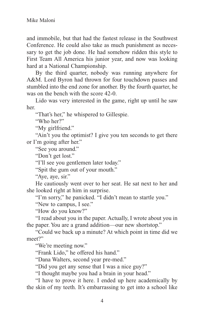and immobile, but that had the fastest release in the Southwest Conference. He could also take as much punishment as necessary to get the job done. He had somehow ridden this style to First Team All America his junior year, and now was looking hard at a National Championship.

By the third quarter, nobody was running anywhere for A&M. Lord Byron had thrown for four touchdown passes and stumbled into the end zone for another. By the fourth quarter, he was on the bench with the score 42-0.

Lido was very interested in the game, right up until he saw her.

"That's her," he whispered to Gillespie.

"Who her?"

"My girlfriend."

"Ain't you the optimist? I give you ten seconds to get there or I'm going after her."

"See you around."

"Don't get lost."

"I'll see you gentlemen later today."

"Spit the gum out of your mouth."

"Aye, aye, sir."

He cautiously went over to her seat. He sat next to her and she looked right at him in surprise.

"I'm sorry," he panicked. "I didn't mean to startle you."

"New to campus, I see."

"How do you know?"

"I read about you in the paper. Actually, I wrote about you in the paper. You are a grand addition—our new shortstop."

"Could we back up a minute? At which point in time did we meet?"

"We're meeting now."

"Frank Lido," he offered his hand."

"Dana Walters, second year pre-med."

"Did you get any sense that I was a nice guy?"

"I thought maybe you had a brain in your head."

"I have to prove it here. I ended up here academically by the skin of my teeth. It's embarrassing to get into a school like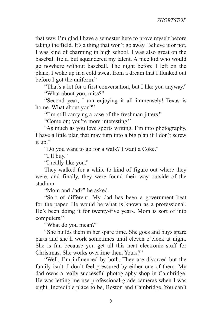that way. I'm glad I have a semester here to prove myself before taking the field. It's a thing that won't go away. Believe it or not, I was kind of charming in high school. I was also great on the baseball field, but squandered my talent. A nice kid who would go nowhere without baseball. The night before I left on the plane, I woke up in a cold sweat from a dream that I flunked out before I got the uniform."

"That's a lot for a first conversation, but I like you anyway." "What about you, miss?"

"Second year; I am enjoying it all immensely! Texas is home. What about you?"

"I'm still carrying a case of the freshman jitters."

"Come on; you're more interesting."

"As much as you love sports writing, I'm into photography. I have a little plan that may turn into a big plan if I don't screw it up."

"Do you want to go for a walk? I want a Coke."

"I'll buy."

"I really like you."

They walked for a while to kind of figure out where they were, and finally, they were found their way outside of the stadium.

"Mom and dad?" he asked.

"Sort of different. My dad has been a government beat for the paper. He would be what is known as a professional. He's been doing it for twenty-five years. Mom is sort of into computers."

"What do you mean?"

"She builds them in her spare time. She goes and buys spare parts and she'll work sometimes until eleven o'clock at night. She is fun because you get all this neat electronic stuff for Christmas. She works overtime then. Yours?"

"Well, I'm influenced by both. They are divorced but the family isn't. I don't feel pressured by either one of them. My dad owns a really successful photography shop in Cambridge. He was letting me use professional-grade cameras when I was eight. Incredible place to be, Boston and Cambridge. You can't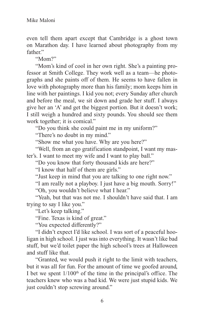even tell them apart except that Cambridge is a ghost town on Marathon day. I have learned about photography from my father"

"Mom?"

"Mom's kind of cool in her own right. She's a painting professor at Smith College. They work well as a team—he photographs and she paints off of them. He seems to have fallen in love with photography more than his family; mom keeps him in line with her paintings. I kid you not; every Sunday after church and before the meal, we sit down and grade her stuff. I always give her an 'A' and get the biggest portion. But it doesn't work; I still weigh a hundred and sixty pounds. You should see them work together; it is comical."

"Do you think she could paint me in my uniform?"

"There's no doubt in my mind."

"Show me what you have. Why are you here?"

"Well, from an ego gratification standpoint, I want my master's. I want to meet my wife and I want to play ball."

"Do you know that forty thousand kids are here?"

"I know that half of them are girls."

"Just keep in mind that you are talking to one right now."

"I am really not a playboy. I just have a big mouth. Sorry!" "Oh, you wouldn't believe what I hear."

"Yeah, but that was not me. I shouldn't have said that. I am trying to say I like you."

"Let's keep talking."

"Fine. Texas is kind of great."

"You expected differently?"

"I didn't expect I'd like school. I was sort of a peaceful hooligan in high school. I just was into everything. It wasn't like bad stuff, but we'd toilet paper the high school's trees at Halloween and stuff like that.

"Granted, we would push it right to the limit with teachers, but it was all for fun. For the amount of time we goofed around, I bet we spent  $1/100<sup>th</sup>$  of the time in the principal's office. The teachers knew who was a bad kid. We were just stupid kids. We just couldn't stop screwing around."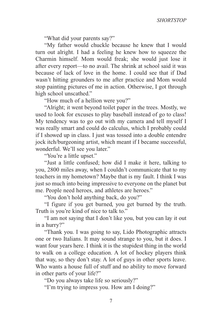"What did your parents say?"

"My father would chuckle because he knew that I would turn out alright. I had a feeling he knew how to squeeze the Charmin himself. Mom would freak; she would just lose it after every report—to no avail. The shrink at school said it was because of lack of love in the home. I could see that if Dad wasn't hitting grounders to me after practice and Mom would stop painting pictures of me in action. Otherwise, I got through high school unscathed."

"How much of a hellion were you?"

"Alright; it went beyond toilet paper in the trees. Mostly, we used to look for excuses to play baseball instead of go to class! My tendency was to go out with my camera and tell myself I was really smart and could do calculus, which I probably could if I showed up in class. I just was tossed into a double entendre jock itch/burgeoning artist, which meant if I became successful, wonderful. We'll see you later."

"You're a little upset."

"Just a little confused; how did I make it here, talking to you, 2800 miles away, when I couldn't communicate that to my teachers in my hometown? Maybe that is my fault. I think I was just so much into being impressive to everyone on the planet but me. People need heroes, and athletes are heroes."

"You don't hold anything back, do you?"

"I figure if you get burned, you get burned by the truth. Truth is you're kind of nice to talk to."

"I am not saying that I don't like you, but you can lay it out in a hurry?"

"Thank you. I was going to say, Lido Photographic attracts one or two Italians. It may sound strange to you, but it does. I want four years here. I think it is the stupidest thing in the world to walk on a college education. A lot of hockey players think that way, so they don't stay. A lot of guys in other sports leave. Who wants a house full of stuff and no ability to move forward in other parts of your life?"

"Do you always take life so seriously?"

"I'm trying to impress you. How am I doing?"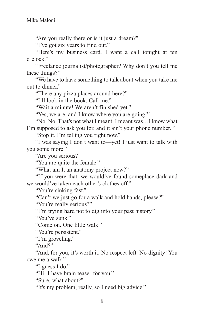"Are you really there or is it just a dream?"

"I've got six years to find out."

"Here's my business card. I want a call tonight at ten o'clock."

"Freelance journalist/photographer? Why don't you tell me these things?"

"We have to have something to talk about when you take me out to dinner."

"There any pizza places around here?"

"I'll look in the book. Call me."

"Wait a minute! We aren't finished yet."

"Yes, we are, and I know where you are going!"

"No. No. That's not what I meant. I meant was…I know what I'm supposed to ask you for, and it ain't your phone number. "

"Stop it. I'm telling you right now."

"I was saying I don't want to—yet! I just want to talk with you some more."

"Are you serious?"

"You are quite the female."

"What am I, an anatomy project now?"

"If you were that, we would've found someplace dark and we would've taken each other's clothes off."

"You're sinking fast."

"Can't we just go for a walk and hold hands, please?"

"You're really serious?"

"I'm trying hard not to dig into your past history."

"You've sunk."

"Come on. One little walk."

"You're persistent."

"I'm groveling."

"And?"

"And, for you, it's worth it. No respect left. No dignity! You owe me a walk."

"I guess I do."

"Hi! I have brain teaser for you."

"Sure, what about?"

"It's my problem, really, so I need big advice."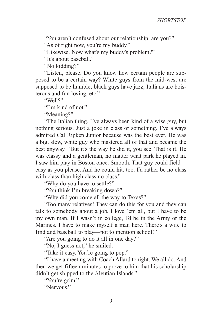"You aren't confused about our relationship, are you?" "As of right now, you're my buddy."

"Likewise. Now what's my buddy's problem?"

"It's about baseball."

"No kidding?"

"Listen, please. Do you know how certain people are supposed to be a certain way? White guys from the mid-west are supposed to be humble; black guys have jazz; Italians are boisterous and fun loving, etc."

"Well?"

"I'm kind of not."

"Meaning?"

"The Italian thing. I've always been kind of a wise guy, but nothing serious. Just a joke in class or something. I've always admired Cal Ripken Junior because was the best ever. He was a big, slow, white guy who mastered all of that and became the best anyway. "But it's the way he did it, you see. That is it. He was classy and a gentleman, no matter what park he played in. I saw him play in Boston once. Smooth. That guy could field easy as you please. And he could hit, too. I'd rather be no class with class than high class no class."

"Why do you have to settle?"

"You think I'm breaking down?"

"Why did you come all the way to Texas?"

"Too many relatives! They can do this for you and they can talk to somebody about a job. I love 'em all, but I have to be my own man. If I wasn't in college, I'd be in the Army or the Marines. I have to make myself a man here. There's a wife to find and baseball to play—not to mention school!"

"Are you going to do it all in one day?"

"No, I guess not," he smiled.

"Take it easy. You're going to pop."

"I have a meeting with Coach Allard tonight. We all do. And then we get fifteen minutes to prove to him that his scholarship didn't get shipped to the Aleutian Islands."

"You're grim."

"Nervous."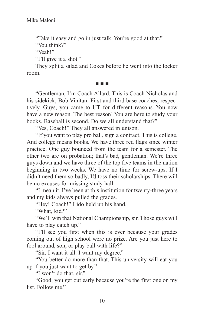"Take it easy and go in just talk. You're good at that."

"You think?"

"Yeah!"

"I'll give it a shot."

They split a salad and Cokes before he went into the locker room.

#### n n n

"Gentleman, I'm Coach Allard. This is Coach Nicholas and his sidekick, Bob Vinitan. First and third base coaches, respectively. Guys, you came to UT for different reasons. You now have a new reason. The best reason! You are here to study your books. Baseball is second. Do we all understand that?"

"Yes, Coach!" They all answered in unison.

"If you want to play pro ball, sign a contract. This is college. And college means books. We have three red flags since winter practice. One guy bounced from the team for a semester. The other two are on probation; that's bad, gentleman. We're three guys down and we have three of the top five teams in the nation beginning in two weeks. We have no time for screw-ups. If I didn't need them so badly, I'd toss their scholarships. There will be no excuses for missing study hall.

"I mean it. I've been at this institution for twenty-three years and my kids always pulled the grades.

"Hey! Coach!" Lido held up his hand.

"What, kid?"

"We'll win that National Championship, sir. Those guys will have to play catch up."

"I'll see you first when this is over because your grades coming out of high school were no prize. Are you just here to fool around, son, or play ball with life?"

"Sir, I want it all. I want my degree."

"You better do more than that. This university will eat you up if you just want to get by."

"I won't do that, sir."

"Good; you get out early because you're the first one on my list. Follow me."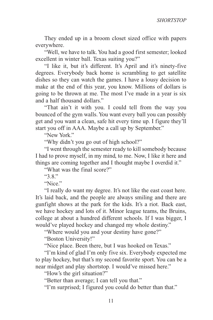They ended up in a broom closet sized office with papers everywhere.

"Well, we have to talk. You had a good first semester; looked excellent in winter ball. Texas suiting you?"

"I like it, but it's different. It's April and it's ninety-five degrees. Everybody back home is scrambling to get satellite dishes so they can watch the games. I have a lousy decision to make at the end of this year, you know. Millions of dollars is going to be thrown at me. The most I've made in a year is six and a half thousand dollars."

"That ain't it with you. I could tell from the way you bounced of the gym walls. You want every ball you can possibly get and you want a clean, safe hit every time up. I figure they'll start you off in AAA. Maybe a call up by September."

"New York."

"Why didn't you go out of high school?"

"I went through the semester ready to kill somebody because I had to prove myself, in my mind, to me. Now, I like it here and things are coming together and I thought maybe I overdid it."

"What was the final score?"

"3.8."

"Nice."

"I really do want my degree. It's not like the east coast here. It's laid back, and the people are always smiling and there are gunfight shows at the park for the kids. It's a riot. Back east, we have hockey and lots of it. Minor league teams, the Bruins, college at about a hundred different schools. If I was bigger, I would've played hockey and changed my whole destiny."

"Where would you and your destiny have gone?"

"Boston University!"

"Nice place. Been there, but I was hooked on Texas."

"I'm kind of glad I'm only five six. Everybody expected me to play hockey, but that's my second favorite sport. You can be a near midget and play shortstop. I would've missed here."

"How's the girl situation?"

"Better than average; I can tell you that."

"I'm surprised; I figured you could do better than that."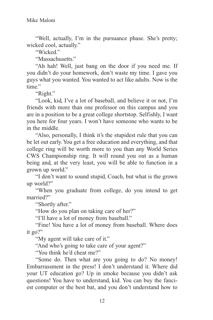"Well, actually, I'm in the pursuance phase. She's pretty; wicked cool, actually."

"Wicked"

"Massachusetts."

"Ah hah! Well, just bang on the door if you need me. If you didn't do your homework, don't waste my time. I gave you guys what you wanted. You wanted to act like adults. Now is the time."

"Right."

"Look, kid, I've a lot of baseball, and believe it or not, I'm friends with more than one professor on this campus and you are in a position to be a great college shortstop. Selfishly, I want you here for four years. I won't have someone who wants to be in the middle.

"Also, personally, I think it's the stupidest rule that you can be let out early. You get a free education and everything, and that college ring will be worth more to you than any World Series CWS Championship ring. It will round you out as a human being and, at the very least, you will be able to function in a grown up world."

"I don't want to sound stupid, Coach, but what is the grown up world?"

"When you graduate from college, do you intend to get married?"

"Shortly after."

"How do you plan on taking care of her?"

"I'll have a lot of money from baseball."

"Fine! You have a lot of money from baseball. Where does it go?"

"My agent will take care of it."

"And who's going to take care of your agent?"

"You think he'd cheat me?"

"Some do. Then what are you going to do? No money! Embarrassment in the press! I don't understand it. Where did your UT education go? Up in smoke because you didn't ask questions! You have to understand, kid. You can buy the fanciest computer or the best bat, and you don't understand how to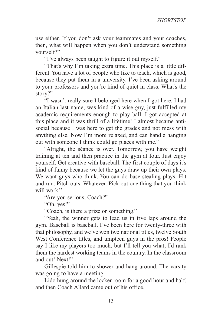use either. If you don't ask your teammates and your coaches, then, what will happen when you don't understand something yourself?"

"I've always been taught to figure it out myself."

"That's why I'm taking extra time. This place is a little different. You have a lot of people who like to teach, which is good, because they put them in a university. I've been asking around to your professors and you're kind of quiet in class. What's the story?"

"I wasn't really sure I belonged here when I got here. I had an Italian last name, was kind of a wise guy, just fulfilled my academic requirements enough to play ball. I got accepted at this place and it was thrill of a lifetime! I almost became antisocial because I was here to get the grades and not mess with anything else. Now I'm more relaxed, and can handle hanging out with someone I think could go places with me."

"Alright, the séance is over. Tomorrow, you have weight training at ten and then practice in the gym at four. Just enjoy yourself. Get creative with baseball. The first couple of days it's kind of funny because we let the guys draw up their own plays. We want guys who think. You can do base-stealing plays. Hit and run. Pitch outs. Whatever. Pick out one thing that you think will work."

"Are you serious, Coach?"

"Oh, yes!"

"Coach, is there a prize or something."

"Yeah, the winner gets to lead us in five laps around the gym. Baseball is baseball. I've been here for twenty-three with that philosophy, and we've won two national titles, twelve South West Conference titles, and umpteen guys in the pros! People say I like my players too much, but I'll tell you what; I'd rank them the hardest working teams in the country. In the classroom and out! Next!"

Gillespie told him to shower and hang around. The varsity was going to have a meeting.

Lido hung around the locker room for a good hour and half, and then Coach Allard came out of his office.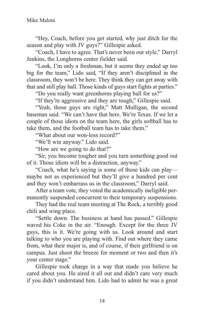"Hey, Coach, before you get started, why just ditch for the season and play with JV guys?" Gillespie asked.

"Coach, I have to agree. That's never been our style," Darryl Jenkins, the Longhorns center fielder said.

"Look, I'm only a freshman, but it seems they ended up too big for the team," Lido said, "If they aren't disciplined in the classroom, they won't be here. They think they can get away with that and still play ball. Those kinds of guys start fights at parties."

"Do you really want greenhorns playing ball for us?"

"If they're aggressive and they are tough," Gillespie said.

"Yeah, those guys are right," Matt Mulligan, the second baseman said. "We can't have that here. We're Texas. If we let a couple of those idiots on the team here, the girls softball has to take them, and the football team has to take them."

"What about our won-loss record?"

"We'll win anyway." Lido said.

"How are we going to do that?"

"Sir, you become tougher and you turn something good out of it. Those idiots will be a distraction, anyway."

"Coach, what he's saying is some of those kids can play maybe not as experienced but they'll give a hundred per cent and they won't embarrass us in the classroom," Darryl said.

After a team vote, they voted the academically ineligible permanently suspended concurrent to their temporary suspensions.

They had the real team meeting at The Rock, a terribly good chili and wing place.

"Settle down. The business at hand has passed." Gillespie waved his Coke in the air. "Enough. Except for the three JV guys, this is it. We're going with us. Look around and start talking to who you are playing with. Find out where they came from, what their major is, and of course, if their girlfriend is on campus. Just shoot the breeze for moment or two and then it's your center stage."

Gillespie took charge in a way that made you believe he cared about you. He aired it all out and didn't care very much if you didn't understand him. Lido had to admit he was a great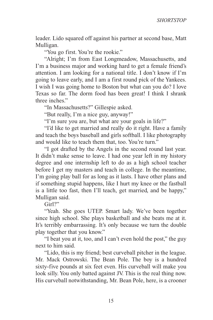leader. Lido squared off against his partner at second base, Matt Mulligan.

"You go first. You're the rookie."

"Alright; I'm from East Longmeadow, Massachusetts, and I'm a business major and working hard to get a female friend's attention. I am looking for a national title. I don't know if I'm going to leave early, and I am a first round pick of the Yankees. I wish I was going home to Boston but what can you do? I love Texas so far. The dorm food has been great! I think I shrank three inches."

"In Massachusetts?" Gillespie asked.

"But really, I'm a nice guy, anyway!"

"I'm sure you are, but what are your goals in life?"

"I'd like to get married and really do it right. Have a family and teach the boys baseball and girls softball. I like photography and would like to teach them that, too. You're turn."

"I got drafted by the Angels in the second round last year. It didn't make sense to leave. I had one year left in my history degree and one internship left to do as a high school teacher before I get my masters and teach in college. In the meantime, I'm going play ball for as long as it lasts. I have other plans and if something stupid happens, like I hurt my knee or the fastball is a little too fast, then I'll teach, get married, and be happy," Mulligan said.

Girl?"

"Yeah. She goes UTEP. Smart lady. We've been together since high school. She plays basketball and she beats me at it. It's terribly embarrassing. It's only because we turn the double play together that you know."

"I beat you at it, too, and I can't even hold the post," the guy next to him said.

"Lido, this is my friend; best curveball pitcher in the league. Mr. Mack Ostrowski. The Bean Pole. The boy is a hundred sixty-five pounds at six feet even. His curveball will make you look silly. You only batted against JV. This is the real thing now. His curveball notwithstanding, Mr. Bean Pole, here, is a crooner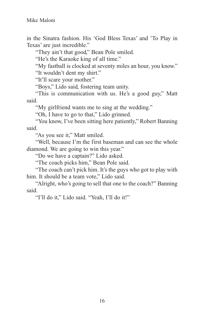in the Sinatra fashion. His 'God Bless Texas' and 'To Play in Texas' are just incredible."

"They ain't that good," Bean Pole smiled.

"He's the Karaoke king of all time."

"My fastball is clocked at seventy miles an hour, you know."

"It wouldn't dent my shirt."

"It'll scare your mother."

"Boys," Lido said, fostering team unity.

"This is communication with us. He's a good guy," Matt said.

"My girlfriend wants me to sing at the wedding."

"Oh, I have to go to that," Lido grinned.

"You know, I've been sitting here patiently," Robert Banning said.

"As you see it," Matt smiled.

"Well, because I'm the first baseman and can see the whole diamond. We are going to win this year."

"Do we have a captain?" Lido asked.

"The coach picks him," Bean Pole said.

"The coach can't pick him. It's the guys who got to play with him. It should be a team vote," Lido said.

"Alright, who's going to sell that one to the coach?" Banning said.

"I'll do it," Lido said. "Yeah, I'll do it!"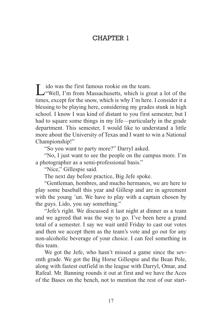#### CHAPTER 1

Lido was the first famous rookie on the team.<br>
"Well, I'm from Massachusetts, which is great a lot of the times, except for the snow, which is why I'm here. I consider it a blessing to be playing here, considering my grades stunk in high school. I know I was kind of distant to you first semester, but I had to square some things in my life—particularly in the grade department. This semester, I would like to understand a little more about the University of Texas and I want to win a National Championship!"

"So you want to party more?" Darryl asked.

"No, I just want to see the people on the campus more. I'm a photographer as a semi-professional basis."

"Nice," Gillespie said.

The next day before practice, Big Jefe spoke.

"Gentleman, hombres, and mucho hermanos, we are here to play some baseball this year and Gillesp and are in agreement with the young 'un. We have to play with a captain chosen by the guys. Lido, you say something."

"Jefe's right. We discussed it last night at dinner as a team and we agreed that was the way to go. I've been here a grand total of a semester. I say we wait until Friday to cast our votes and then we accept them as the team's vote and go out for any non-alcoholic beverage of your choice. I can feel something in this team.

We got the Jefe, who hasn't missed a game since the seventh grade. We got the Big Horse Gillespie and the Bean Pole, along with fastest outfield in the league with Darryl, Omar, and Rafeal. Mr. Banning rounds it out at first and we have the Aces of the Bases on the bench, not to mention the rest of our start-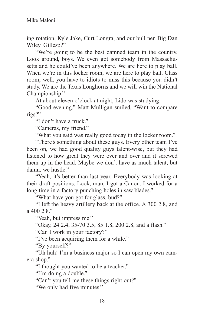ing rotation, Kyle Jake, Curt Longra, and our bull pen Big Dan Wiley. Gillesp?"

"We're going to be the best damned team in the country. Look around, boys. We even got somebody from Massachusetts and he could've been anywhere. We are here to play ball. When we're in this locker room, we are here to play ball. Class room; well, you have to idiots to miss this because you didn't study. We are the Texas Longhorns and we will win the National Championship."

At about eleven o'clock at night, Lido was studying.

"Good evening," Matt Mulligan smiled, "Want to compare rigs?"

"I don't have a truck."

"Cameras, my friend."

"What you said was really good today in the locker room."

"There's something about these guys. Every other team I've been on, we had good quality guys talent-wise, but they had listened to how great they were over and over and it screwed them up in the head. Maybe we don't have as much talent, but damn, we hustle."

"Yeah, it's better than last year. Everybody was looking at their draft positions. Look, man, I got a Canon. I worked for a long time in a factory punching holes in saw blades."

"What have you got for glass, bud?"

"I left the heavy artillery back at the office. A 300 2.8, and a 400  $2.8$ "

"Yeah, but impress me."

"Okay, 24 2.4, 35-70 3.5, 85 1.8, 200 2.8, and a flash."

"Can I work in your factory?"

"I've been acquiring them for a while."

"By yourself?"

"Uh huh! I'm a business major so I can open my own camera shop."

"I thought you wanted to be a teacher."

"I'm doing a double."

"Can't you tell me these things right out?"

"We only had five minutes."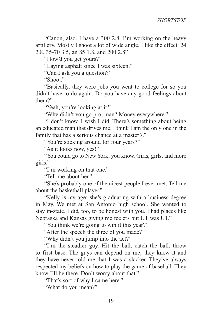"Canon, also. I have a 300 2.8. I'm working on the heavy artillery. Mostly I shoot a lot of wide angle. I like the effect. 24 2.8. 35-70 3.5, an 85 1.8, and 200 2.8"

"How'd you get yours?"

"Laying asphalt since I was sixteen."

"Can I ask you a question?"

"Shoot."

"Basically, they were jobs you went to college for so you didn't have to do again. Do you have any good feelings about them?"

"Yeah, you're looking at it."

"Why didn't you go pro, man? Money everywhere."

"I don't know. I wish I did. There's something about being an educated man that drives me. I think I am the only one in the family that has a serious chance at a master's."

"You're sticking around for four years?"

"As it looks now, yes!"

"You could go to New York, you know. Girls, girls, and more girls."

"I'm working on that one."

"Tell me about her."

"She's probably one of the nicest people I ever met. Tell me about the basketball player."

"Kelly is my age; she's graduating with a business degree in May. We met at San Antonio high school. She wanted to stay in-state. I did, too, to be honest with you. I had places like Nebraska and Kansas giving me feelers but UT was UT."

"You think we're going to win it this year?"

"After the speech the three of you made?"

"Why didn't you jump into the act?"

"I'm the steadier guy. Hit the ball, catch the ball, throw to first base. The guys can depend on me; they know it and they have never told me that I was a slacker. They've always respected my beliefs on how to play the game of baseball. They know I'll be there. Don't worry about that."

"That's sort of why I came here."

"What do you mean?"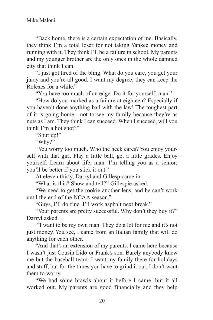"Back home, there is a certain expectation of me. Basically, they think I'm a total loser for not taking Yankee money and running with it. They think I'll be a failure in school. My parents and my younger brother are the only ones in the whole damned city that think I can.

"I just got tired of the bling. What do you care, you get your juray and you're all good. I want my degree; they can keep the Rolexes for a while."

"You have too much of an edge. Do it for yourself, man."

"How do you marked as a failure at eighteen? Especially if you haven't done anything bad with the law! The toughest part of it is going home—not to see my family because they're as nuts as I am. They think I can succeed. When I succeed, will you think I'm a hot shot?"

"Shut up!"

"Why?"

"You worry too much. Who the heck cares? You enjoy yourself with that girl. Play a little ball, get a little grades. Enjoy yourself. Learn about life, man. I'm telling you as a senior; you'll be better if you stick it out."

At eleven thirty, Darryl and Gillesp came in.

"What is this? Show and tell?" Gillespie asked.

"We need to get the rookie another lens, and he can't work until the end of the NCAA season."

"Guys, I'll do fine. I'll work asphalt next break."

"Your parents are pretty successful. Why don't they buy it?" Darryl asked.

 "I want to be my own man. They do a lot for me and it's not just money. You see, I came from an Italian family that will do anything for each other.

"And that's an extension of my parents. I came here because I wasn't just Cousin Lido or Frank's son. Barely anybody knew me but the baseball team. I want my family there for holidays and stuff, but for the times you have to grind it out, I don't want them to worry.

"We had some brawls about it before I came, but it all worked out. My parents are good financially and they help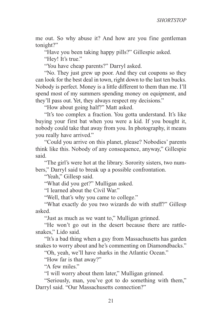me out. So why abuse it? And how are you fine gentleman tonight?"

"Have you been taking happy pills?" Gillespie asked.

"Hey! It's true."

"You have cheap parents?" Darryl asked.

"No. They just grew up poor. And they cut coupons so they can look for the best deal in town, right down to the last ten bucks. Nobody is perfect. Money is a little different to them than me. I'll spend most of my summers spending money on equipment, and they'll pass out. Yet, they always respect my decisions."

"How about going half?" Matt asked.

"It's too complex a fraction. You gotta understand. It's like buying your first bat when you were a kid. If you bought it, nobody could take that away from you. In photography, it means you really have arrived."

"Could you arrive on this planet, please? Nobodies' parents think like this. Nobody of any consequence, anyway," Gillespie said.

"The girl's were hot at the library. Sorority sisters, two numbers," Darryl said to break up a possible confrontation.

"Yeah," Gillesp said.

"What did you get?" Mulligan asked.

"I learned about the Civil War."

"Well, that's why you came to college."

"What exactly do you two wizards do with stuff?" Gillesp asked.

"Just as much as we want to," Mulligan grinned.

"He won't go out in the desert because there are rattlesnakes," Lido said.

"It's a bad thing when a guy from Massachusetts has garden snakes to worry about and he's commenting on Diamondbacks."

"Oh, yeah, we'll have sharks in the Atlantic Ocean."

"How far is that away?"

"A few miles."

"I will worry about them later," Mulligan grinned.

"Seriously, man, you've got to do something with them," Darryl said. "Our Massachusetts connection?"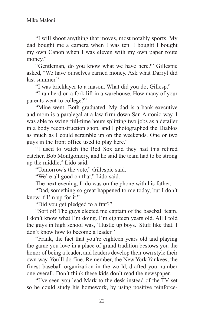"I will shoot anything that moves, most notably sports. My dad bought me a camera when I was ten. I bought I bought my own Canon when I was eleven with my own paper route money."

"Gentleman, do you know what we have here?" Gillespie asked, "We have ourselves earned money. Ask what Darryl did last summer."

"I was bricklayer to a mason. What did you do, Gillesp."

"I ran herd on a fork lift in a warehouse. How many of your parents went to college?"

"Mine went. Both graduated. My dad is a bank executive and mom is a paralegal at a law firm down San Antonio way. I was able to swing full-time hours splitting two jobs as a detailer in a body reconstruction shop, and I photographed the Diablos as much as I could scramble up on the weekends. One or two guys in the front office used to play here."

"I used to watch the Red Sox and they had this retired catcher, Bob Montgomery, and he said the team had to be strong up the middle," Lido said.

"Tomorrow's the vote," Gillespie said.

"We're all good on that," Lido said.

The next evening, Lido was on the phone with his father.

"Dad, something so great happened to me today, but I don't know if I'm up for it."

"Did you get pledged to a frat?"

"Sort of! The guys elected me captain of the baseball team. I don't know what I'm doing. I'm eighteen years old. All I told the guys in high school was, 'Hustle up boys.' Stuff like that. I don't know how to become a leader."

"Frank, the fact that you're eighteen years old and playing the game you love in a place of grand tradition bestows you the honor of being a leader, and leaders develop their own style their own way. You'll do fine. Remember, the New York Yankees, the finest baseball organization in the world, drafted you number one overall. Don't think these kids don't read the newspaper.

"I've seen you lead Mark to the desk instead of the TV set so he could study his homework, by using positive reinforce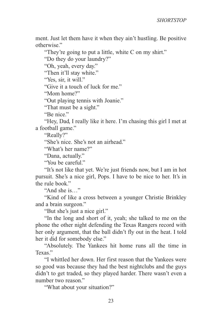ment. Just let them have it when they ain't hustling. Be positive otherwise."

"They're going to put a little, white C on my shirt."

"Do they do your laundry?"

"Oh, yeah, every day."

"Then it'll stay white."

"Yes, sir, it will."

"Give it a touch of luck for me."

"Mom home?"

"Out playing tennis with Joanie."

"That must be a sight."

"Be nice."

"Hey, Dad, I really like it here. I'm chasing this girl I met at a football game."

"Really?"

"She's nice. She's not an airhead."

"What's her name?"

"Dana, actually."

"You be careful."

"It's not like that yet. We're just friends now, but I am in hot pursuit. She's a nice girl, Pops. I have to be nice to her. It's in the rule book."

"And she is…"

"Kind of like a cross between a younger Christie Brinkley and a brain surgeon."

"But she's just a nice girl."

"In the long and short of it, yeah; she talked to me on the phone the other night defending the Texas Rangers record with her only argument, that the ball didn't fly out in the heat. I told her it did for somebody else."

"Absolutely. The Yankees hit home runs all the time in Texas"

"I whittled her down. Her first reason that the Yankees were so good was because they had the best nightclubs and the guys didn't to get traded, so they played harder. There wasn't even a number two reason."

"What about your situation?"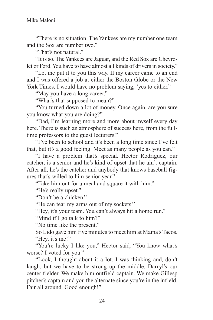"There is no situation. The Yankees are my number one team and the Sox are number two."

"That's not natural."

"It is so. The Yankees are Jaguar, and the Red Sox are Chevrolet or Ford. You have to have almost all kinds of drivers in society."

"Let me put it to you this way. If my career came to an end and I was offered a job at either the Boston Globe or the New York Times, I would have no problem saying, 'yes to either."

"May you have a long career."

"What's that supposed to mean?"

"You turned down a lot of money. Once again, are you sure you know what you are doing?"

"Dad, I'm learning more and more about myself every day here. There is such an atmosphere of success here, from the fulltime professors to the guest lecturers."

"I've been to school and it's been a long time since I've felt that, but it's a good feeling. Meet as many people as you can."

"I have a problem that's special. Hector Rodriguez, our catcher, is a senior and he's kind of upset that he ain't captain. After all, he's the catcher and anybody that knows baseball figures that's willed to him senior year."

"Take him out for a meal and square it with him."

"He's really upset."

"Don't be a chicken."

"He can tear my arms out of my sockets."

"Hey, it's your team. You can't always hit a home run."

"Mind if I go talk to him?"

"No time like the present."

So Lido gave him five minutes to meet him at Mama's Tacos. "Hey, it's me!"

"You're lucky I like you," Hector said, "You know what's worse? I voted for you."

"Look, I thought about it a lot. I was thinking and, don't laugh, but we have to be strong up the middle. Darryl's our center fielder. We make him outfield captain. We make Gillesp pitcher's captain and you the alternate since you're in the infield. Fair all around. Good enough!"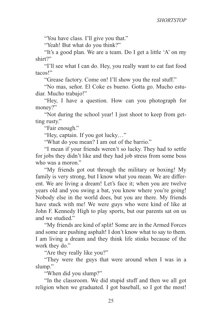"You have class. I'll give you that."

"Yeah! But what do you think?"

"It's a good plan. We are a team. Do I get a little 'A' on my shirt?"

"I'll see what I can do. Hey, you really want to eat fast food tacos!"

"Grease factory. Come on! I'll show you the real stuff."

"No mas, señor. El Coke es bueno. Gotta go. Mucho estudiar. Mucho trabajo!"

"Hey, I have a question. How can you photograph for money?"

"Not during the school year! I just shoot to keep from getting rusty."

"Fair enough."

"Hey, captain. If you got lucky…"

"What do you mean? I am out of the barrio."

"I mean if your friends weren't so lucky. They had to settle for jobs they didn't like and they had job stress from some boss who was a moron."

"My friends got out through the military or boxing! My family is very strong, but I know what you mean. We are different. We are living a dream! Let's face it; when you are twelve years old and you swing a bat, you know where you're going! Nobody else in the world does, but you are there. My friends have stuck with me! We were guys who were kind of like at John F. Kennedy High to play sports, but our parents sat on us and we studied."

"My friends are kind of split! Some are in the Armed Forces and some are pushing asphalt! I don't know what to say to them. I am living a dream and they think life stinks because of the work they do."

"Are they really like you?"

"They were the guys that were around when I was in a slump."

"When did you slump?"

"In the classroom. We did stupid stuff and then we all got religion when we graduated. I got baseball, so I got the most!